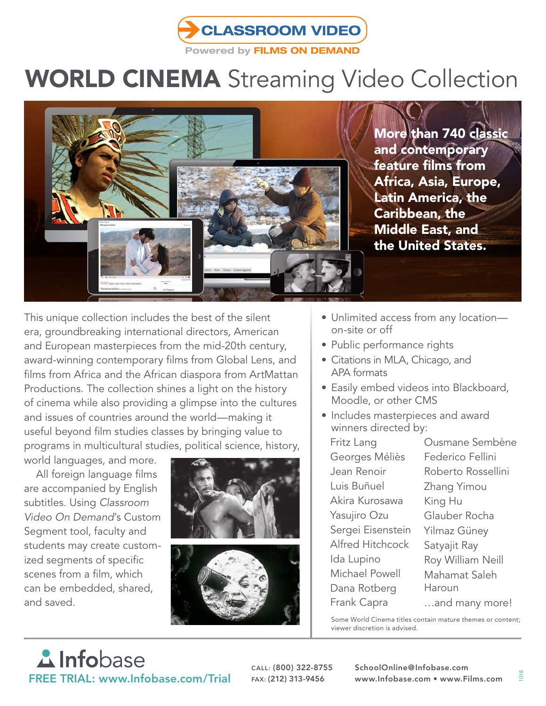

## WORLD CINEMA Streaming Video Collection



More than 740 classic and contemporary feature films from Africa, Asia, Europe, Latin America, the Caribbean, the Middle East, and the United States.

This unique collection includes the best of the silent era, groundbreaking international directors, American and European masterpieces from the mid-20th century, award-winning contemporary films from Global Lens, and films from Africa and the African diaspora from ArtMattan Productions. The collection shines a light on the history of cinema while also providing a glimpse into the cultures and issues of countries around the world—making it useful beyond film studies classes by bringing value to programs in multicultural studies, political science, history,

world languages, and more.

All foreign language films are accompanied by English subtitles. Using *Classroom Video On Demand*'s Custom Segment tool, faculty and students may create customized segments of specific scenes from a film, which can be embedded, shared, and saved.



- Unlimited access from any location on-site or off
- Public performance rights
- Citations in MLA, Chicago, and APA formats
- Easily embed videos into Blackboard, Moodle, or other CMS
- Includes masterpieces and award winners directed by:

Fritz Lang Georges Méliès Jean Renoir Luis Buñuel Akira Kurosawa Yasujiro Ozu Sergei Eisenstein Alfred Hitchcock Ida Lupino Michael Powell Dana Rotberg Frank Capra Ousmane Sembène Federico Fellini Roberto Rossellini Zhang Yimou King Hu Glauber Rocha Yilmaz Güney Satyajit Ray Roy William Neill Mahamat Saleh Haroun …and many more!

Some World Cinema titles contain mature themes or content; viewer discretion is advised.

## **A** Infobase FREE TRIAL: www.Infobase.com/Trial